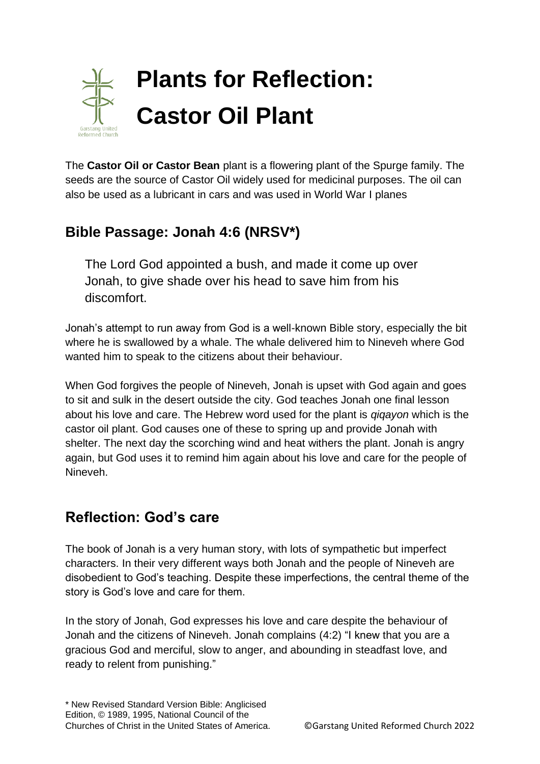

The **Castor Oil or Castor Bean** plant is a flowering plant of the Spurge family. The seeds are the source of Castor Oil widely used for medicinal purposes. The oil can also be used as a lubricant in cars and was used in World War I planes

## **Bible Passage: Jonah 4:6 (NRSV\*)**

The Lord God appointed a bush, and made it come up over Jonah, to give shade over his head to save him from his discomfort.

Jonah's attempt to run away from God is a well-known Bible story, especially the bit where he is swallowed by a whale. The whale delivered him to Nineveh where God wanted him to speak to the citizens about their behaviour.

When God forgives the people of Nineveh, Jonah is upset with God again and goes to sit and sulk in the desert outside the city. God teaches Jonah one final lesson about his love and care. The Hebrew word used for the plant is *qiqayon* which is the castor oil plant. God causes one of these to spring up and provide Jonah with shelter. The next day the scorching wind and heat withers the plant. Jonah is angry again, but God uses it to remind him again about his love and care for the people of Nineveh.

## **Reflection: God's care**

The book of Jonah is a very human story, with lots of sympathetic but imperfect characters. In their very different ways both Jonah and the people of Nineveh are disobedient to God's teaching. Despite these imperfections, the central theme of the story is God's love and care for them.

In the story of Jonah, God expresses his love and care despite the behaviour of Jonah and the citizens of Nineveh. Jonah complains (4:2) "I knew that you are a gracious God and merciful, slow to anger, and abounding in steadfast love, and ready to relent from punishing."